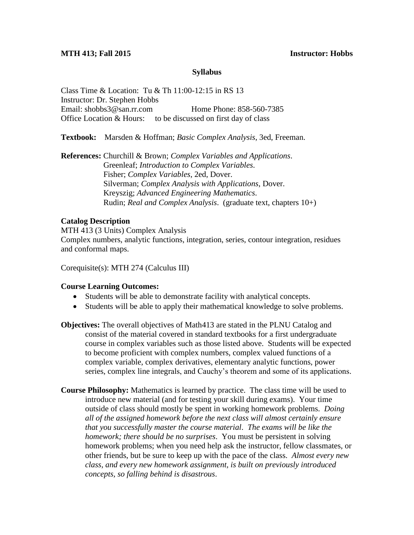# **Syllabus**

Class Time & Location: Tu & Th 11:00-12:15 in RS 13 Instructor: Dr. Stephen Hobbs Email: shobbs3@san.rr.com Home Phone: 858-560-7385 Office Location & Hours: to be discussed on first day of class

**Textbook:** Marsden & Hoffman; *Basic Complex Analysis*, 3ed, Freeman.

**References:** Churchill & Brown; *Complex Variables and Applications*. Greenleaf; *Introduction to Complex Variables*. Fisher; *Complex Variables*, 2ed, Dover. Silverman; *Complex Analysis with Applications*, Dover. Kreyszig; *Advanced Engineering Mathematics*. Rudin; *Real and Complex Analysis*. (graduate text, chapters 10+)

# **Catalog Description**

MTH 413 (3 Units) Complex Analysis Complex numbers, analytic functions, integration, series, contour integration, residues and conformal maps.

Corequisite(s): MTH 274 (Calculus III)

### **Course Learning Outcomes:**

- Students will be able to demonstrate facility with analytical concepts.
- Students will be able to apply their mathematical knowledge to solve problems.
- **Objectives:** The overall objectives of Math413 are stated in the PLNU Catalog and consist of the material covered in standard textbooks for a first undergraduate course in complex variables such as those listed above. Students will be expected to become proficient with complex numbers, complex valued functions of a complex variable, complex derivatives, elementary analytic functions, power series, complex line integrals, and Cauchy's theorem and some of its applications.
- **Course Philosophy:** Mathematics is learned by practice. The class time will be used to introduce new material (and for testing your skill during exams). Your time outside of class should mostly be spent in working homework problems. *Doing all of the assigned homework before the next class will almost certainly ensure that you successfully master the course material*. *The exams will be like the homework; there should be no surprises*. You must be persistent in solving homework problems; when you need help ask the instructor, fellow classmates, or other friends, but be sure to keep up with the pace of the class. *Almost every new class, and every new homework assignment, is built on previously introduced concepts, so falling behind is disastrous*.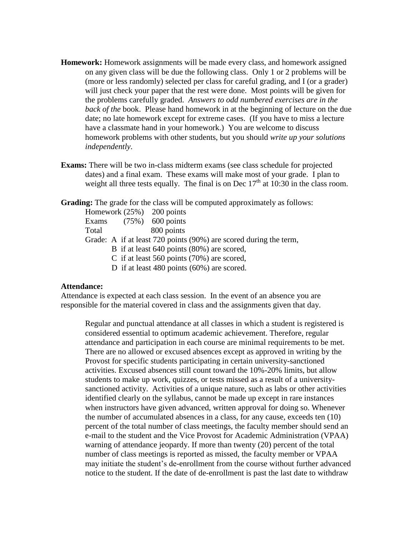- **Homework:** Homework assignments will be made every class, and homework assigned on any given class will be due the following class. Only 1 or 2 problems will be (more or less randomly) selected per class for careful grading, and I (or a grader) will just check your paper that the rest were done. Most points will be given for the problems carefully graded. *Answers to odd numbered exercises are in the back of the* book. Please hand homework in at the beginning of lecture on the due date; no late homework except for extreme cases. (If you have to miss a lecture have a classmate hand in your homework.) You are welcome to discuss homework problems with other students, but you should *write up your solutions independently*.
- **Exams:** There will be two in-class midterm exams (see class schedule for projected dates) and a final exam. These exams will make most of your grade. I plan to weight all three tests equally. The final is on Dec  $17<sup>th</sup>$  at 10:30 in the class room.

**Grading:** The grade for the class will be computed approximately as follows:

|       | Homework $(25%)$ 200 points |                                                                   |  |
|-------|-----------------------------|-------------------------------------------------------------------|--|
| Exams |                             | $(75%)$ 600 points                                                |  |
| Total |                             | 800 points                                                        |  |
|       |                             | Grade: A if at least 720 points (90%) are scored during the term, |  |
|       |                             | B if at least 640 points (80%) are scored,                        |  |
|       |                             | C if at least 560 points $(70%)$ are scored,                      |  |
|       |                             | D if at least 480 points $(60\%)$ are scored.                     |  |

## **Attendance:**

Attendance is expected at each class session. In the event of an absence you are responsible for the material covered in class and the assignments given that day.

Regular and punctual attendance at all classes in which a student is registered is considered essential to optimum academic achievement. Therefore, regular attendance and participation in each course are minimal requirements to be met. There are no allowed or excused absences except as approved in writing by the Provost for specific students participating in certain university-sanctioned activities. Excused absences still count toward the 10%-20% limits, but allow students to make up work, quizzes, or tests missed as a result of a universitysanctioned activity. Activities of a unique nature, such as labs or other activities identified clearly on the syllabus, cannot be made up except in rare instances when instructors have given advanced, written approval for doing so. Whenever the number of accumulated absences in a class, for any cause, exceeds ten (10) percent of the total number of class meetings, the faculty member should send an e-mail to the student and the Vice Provost for Academic Administration (VPAA) warning of attendance jeopardy. If more than twenty (20) percent of the total number of class meetings is reported as missed, the faculty member or VPAA may initiate the student's de-enrollment from the course without further advanced notice to the student. If the date of de-enrollment is past the last date to withdraw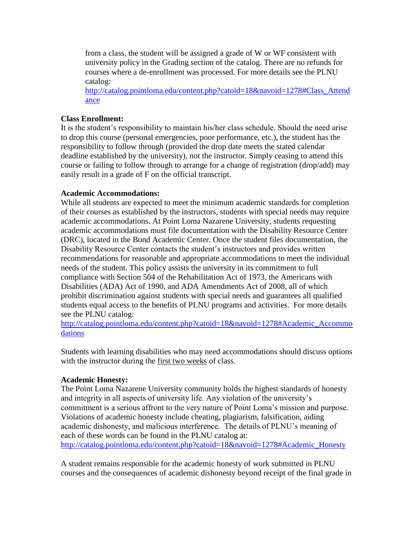from a class, the student will be assigned a grade of W or WF consistent with university policy in the Grading section of the catalog. There are no refunds for courses where a de-enrollment was processed. For more details see the PLNU catalog:

[http://catalog.pointloma.edu/content.php?catoid=18&navoid=1278#Class\\_Attend](http://catalog.pointloma.edu/content.php?catoid=18&navoid=1278#Class_Attendance) [ance](http://catalog.pointloma.edu/content.php?catoid=18&navoid=1278#Class_Attendance)

# **Class Enrollment:**

It is the student's responsibility to maintain his/her class schedule. Should the need arise to drop this course (personal emergencies, poor performance, etc.), the student has the responsibility to follow through (provided the drop date meets the stated calendar deadline established by the university), not the instructor. Simply ceasing to attend this course or failing to follow through to arrange for a change of registration (drop/add) may easily result in a grade of F on the official transcript.

# **Academic Accommodations:**

While all students are expected to meet the minimum academic standards for completion of their courses as established by the instructors, students with special needs may require academic accommodations. At Point Loma Nazarene University, students requesting academic accommodations must file documentation with the Disability Resource Center (DRC), located in the Bond Academic Center. Once the student files documentation, the Disability Resource Center contacts the student's instructors and provides written recommendations for reasonable and appropriate accommodations to meet the individual needs of the student. This policy assists the university in its commitment to full compliance with Section 504 of the Rehabilitation Act of 1973, the Americans with Disabilities (ADA) Act of 1990, and ADA Amendments Act of 2008, all of which prohibit discrimination against students with special needs and guarantees all qualified students equal access to the benefits of PLNU programs and activities. For more details see the PLNU catalog:

[http://catalog.pointloma.edu/content.php?catoid=18&navoid=1278#Academic\\_Accommo](http://catalog.pointloma.edu/content.php?catoid=18&navoid=1278#Academic_Accommodations) [dations](http://catalog.pointloma.edu/content.php?catoid=18&navoid=1278#Academic_Accommodations) 

Students with learning disabilities who may need accommodations should discuss options with the instructor during the first two weeks of class.

# **Academic Honesty:**

The Point Loma Nazarene University community holds the highest standards of honesty and integrity in all aspects of university life. Any violation of the university's commitment is a serious affront to the very nature of Point Loma's mission and purpose. Violations of academic honesty include cheating, plagiarism, falsification, aiding academic dishonesty, and malicious interference. The details of PLNU's meaning of each of these words can be found in the PLNU catalog at: [http://catalog.pointloma.edu/content.php?catoid=18&navoid=1278#Academic\\_Honesty](http://catalog.pointloma.edu/content.php?catoid=18&navoid=1278#Academic_Honesty)

A student remains responsible for the academic honesty of work submitted in PLNU courses and the consequences of academic dishonesty beyond receipt of the final grade in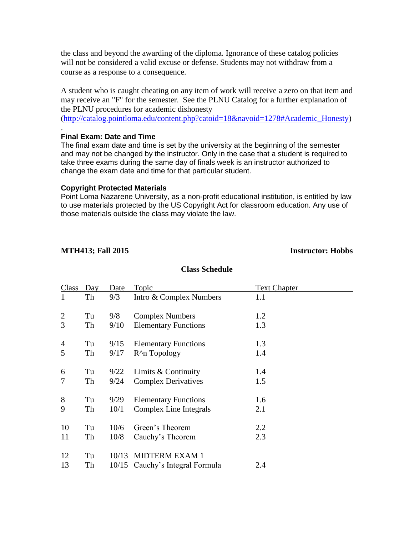the class and beyond the awarding of the diploma. Ignorance of these catalog policies will not be considered a valid excuse or defense. Students may not withdraw from a course as a response to a consequence.

A student who is caught cheating on any item of work will receive a zero on that item and may receive an "F" for the semester. See the PLNU Catalog for a further explanation of the PLNU procedures for academic dishonesty

[\(http://catalog.pointloma.edu/content.php?catoid=18&navoid=1278#Academic\\_Honesty\)](http://catalog.pointloma.edu/content.php?catoid=18&navoid=1278#Academic_Honesty)

### **Final Exam: Date and Time**

.

The final exam date and time is set by the university at the beginning of the semester and may not be changed by the instructor. Only in the case that a student is required to take three exams during the same day of finals week is an instructor authorized to change the exam date and time for that particular student.

#### **Copyright Protected Materials**

Point Loma Nazarene University, as a non-profit educational institution, is entitled by law to use materials protected by the US Copyright Act for classroom education. Any use of those materials outside the class may violate the law.

### **MTH413; Fall 2015 Instructor: Hobbs**

### **Class Schedule**

| Class          | Day | Date  | <b>Topic</b>                    | <b>Text Chapter</b> |
|----------------|-----|-------|---------------------------------|---------------------|
| 1              | Th  | 9/3   | Intro & Complex Numbers         | 1.1                 |
| $\overline{2}$ | Tu  | 9/8   | <b>Complex Numbers</b>          | 1.2                 |
| 3              | Th  | 9/10  | <b>Elementary Functions</b>     | 1.3                 |
| 4              | Tu  | 9/15  | <b>Elementary Functions</b>     | 1.3                 |
| 5              | Th  | 9/17  | R <sup>^</sup> n Topology       | 1.4                 |
| 6              | Tu  | 9/22  | Limits & Continuity             | 1.4                 |
|                | Th  | 9/24  | <b>Complex Derivatives</b>      | 1.5                 |
| 8              | Tu  | 9/29  | <b>Elementary Functions</b>     | 1.6                 |
| 9              | Th  | 10/1  | Complex Line Integrals          | 2.1                 |
| 10             | Tu  | 10/6  | Green's Theorem                 | 2.2                 |
| 11             | Th  | 10/8  | Cauchy's Theorem                | 2.3                 |
| 12             | Tu  | 10/13 | <b>MIDTERM EXAM 1</b>           |                     |
| 13             | Th  |       | 10/15 Cauchy's Integral Formula | 2.4                 |